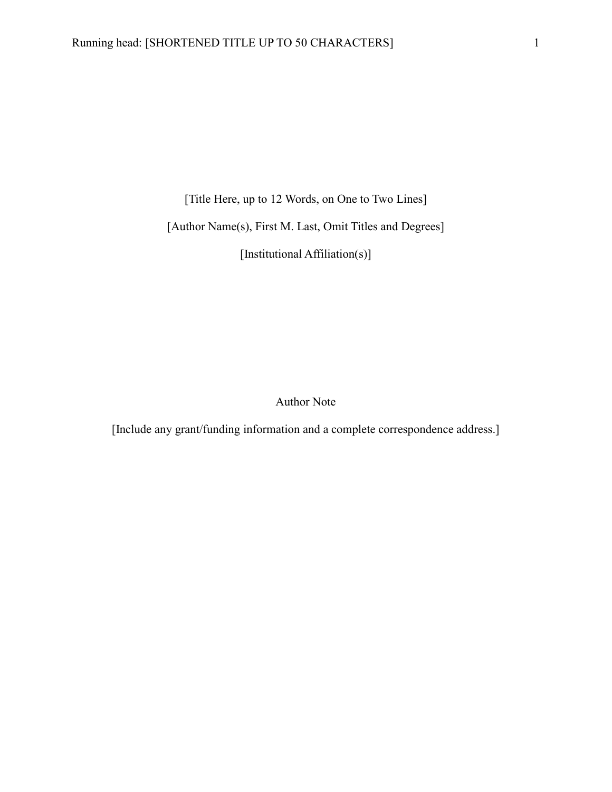[Title Here, up to 12 Words, on One to Two Lines]

[Author Name(s), First M. Last, Omit Titles and Degrees]

[Institutional Affiliation(s)]

Author Note

[Include any grant/funding information and a complete correspondence address.]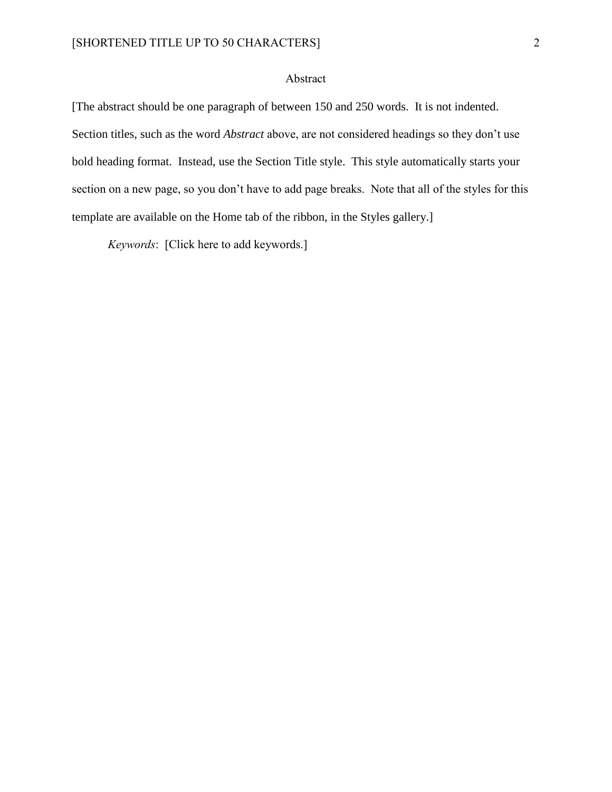### Abstract

[The abstract should be one paragraph of between 150 and 250 words. It is not indented. Section titles, such as the word *Abstract* above, are not considered headings so they don't use bold heading format. Instead, use the Section Title style. This style automatically starts your section on a new page, so you don't have to add page breaks. Note that all of the styles for this template are available on the Home tab of the ribbon, in the Styles gallery.]

*Keywords*: [Click here to add keywords.]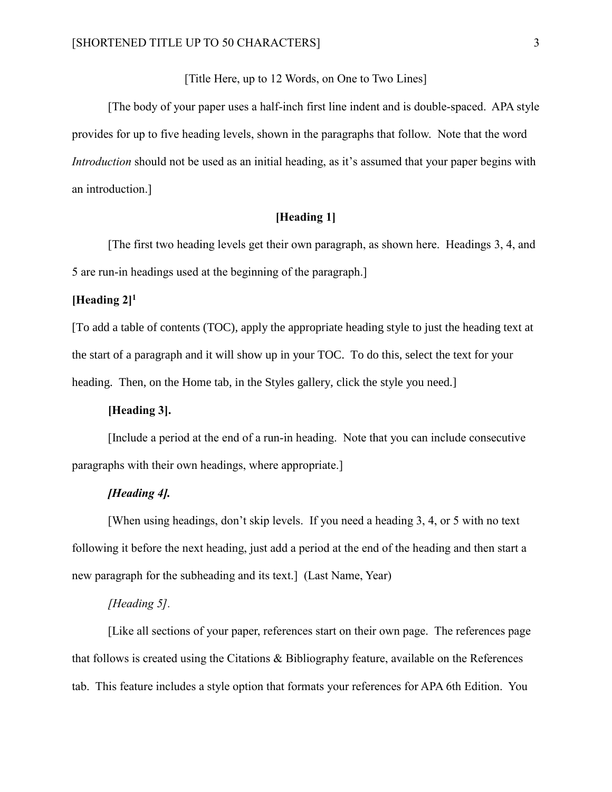[Title Here, up to 12 Words, on One to Two Lines]

[The body of your paper uses a half-inch first line indent and is double-spaced. APA style provides for up to five heading levels, shown in the paragraphs that follow. Note that the word *Introduction* should not be used as an initial heading, as it's assumed that your paper begins with an introduction.]

## **[Heading 1]**

[The first two heading levels get their own paragraph, as shown here. Headings 3, 4, and 5 are run-in headings used at the beginning of the paragraph.]

## **[Heading 2]<sup>1</sup>**

[To add a table of contents (TOC), apply the appropriate heading style to just the heading text at the start of a paragraph and it will show up in your TOC. To do this, select the text for your heading. Then, on the Home tab, in the Styles gallery, click the style you need.

### **[Heading 3].**

[Include a period at the end of a run-in heading. Note that you can include consecutive paragraphs with their own headings, where appropriate.]

### *[Heading 4].*

[When using headings, don't skip levels. If you need a heading 3, 4, or 5 with no text following it before the next heading, just add a period at the end of the heading and then start a new paragraph for the subheading and its text.] (Last Name, Year)

#### *[Heading 5].*

[Like all sections of your paper, references start on their own page. The references page that follows is created using the Citations & Bibliography feature, available on the References tab. This feature includes a style option that formats your references for APA 6th Edition. You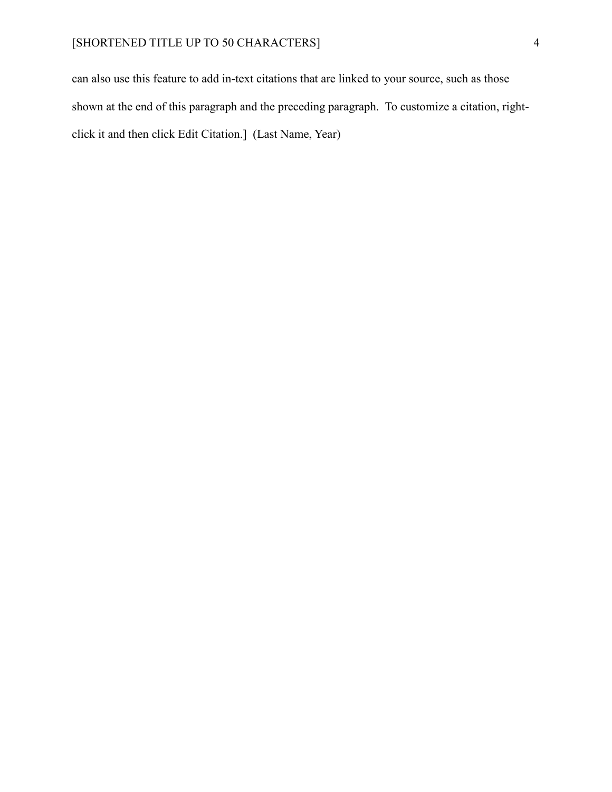can also use this feature to add in-text citations that are linked to your source, such as those shown at the end of this paragraph and the preceding paragraph. To customize a citation, rightclick it and then click Edit Citation.] (Last Name, Year)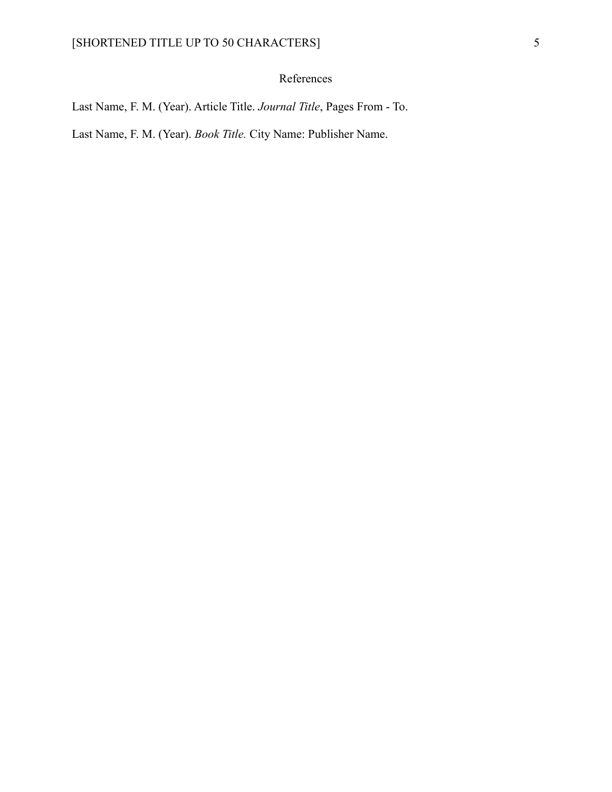# References

Last Name, F. M. (Year). Article Title. *Journal Title*, Pages From - To.

Last Name, F. M. (Year). *Book Title.* City Name: Publisher Name.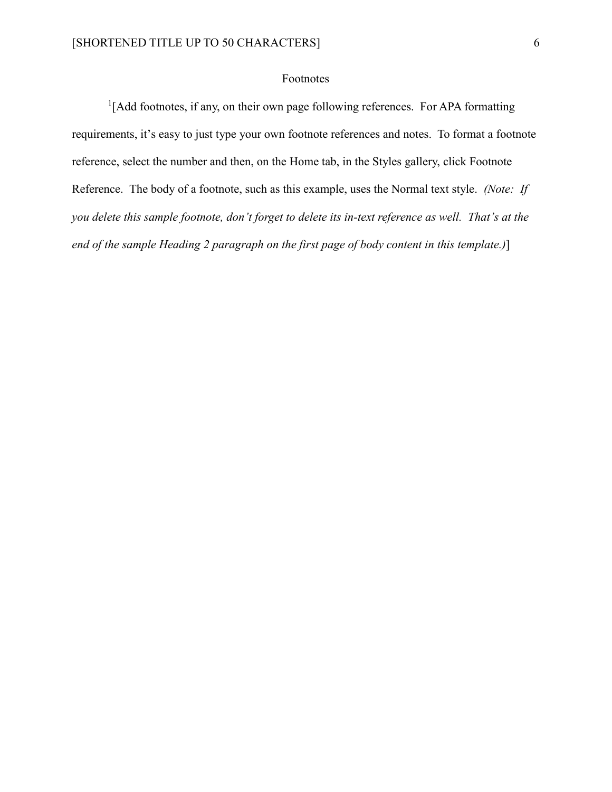#### Footnotes

<sup>1</sup>[Add footnotes, if any, on their own page following references. For APA formatting requirements, it's easy to just type your own footnote references and notes. To format a footnote reference, select the number and then, on the Home tab, in the Styles gallery, click Footnote Reference. The body of a footnote, such as this example, uses the Normal text style. *(Note: If you delete this sample footnote, don't forget to delete its in-text reference as well. That's at the end of the sample Heading 2 paragraph on the first page of body content in this template.)*]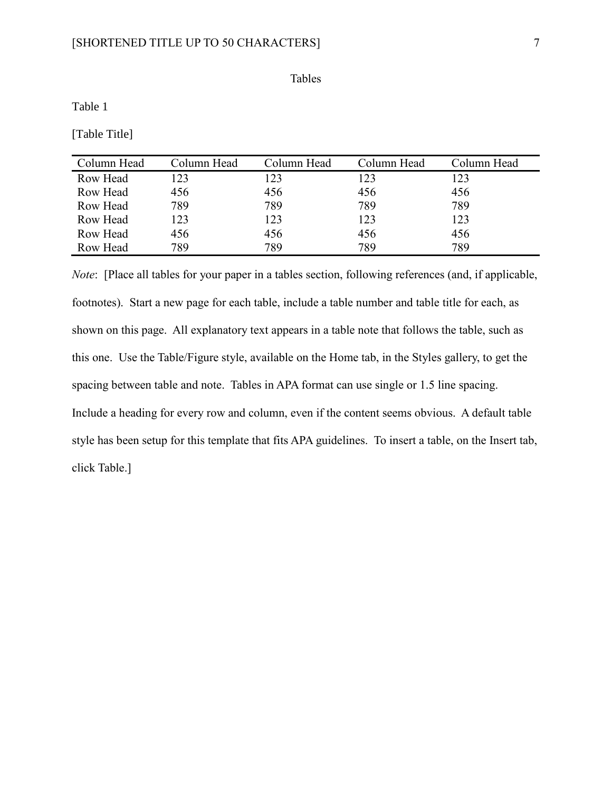Tables

Table 1

[Table Title]

| Column Head | Column Head | Column Head | Column Head | Column Head |
|-------------|-------------|-------------|-------------|-------------|
| Row Head    | 123         | 123         | 123         | 123         |
| Row Head    | 456         | 456         | 456         | 456         |
| Row Head    | 789         | 789         | 789         | 789         |
| Row Head    | 123         | 123         | 123         | 123         |
| Row Head    | 456         | 456         | 456         | 456         |
| Row Head    | 789         | 789         | 789         | 789         |

*Note*: [Place all tables for your paper in a tables section, following references (and, if applicable, footnotes). Start a new page for each table, include a table number and table title for each, as shown on this page. All explanatory text appears in a table note that follows the table, such as this one. Use the Table/Figure style, available on the Home tab, in the Styles gallery, to get the spacing between table and note. Tables in APA format can use single or 1.5 line spacing. Include a heading for every row and column, even if the content seems obvious. A default table style has been setup for this template that fits APA guidelines. To insert a table, on the Insert tab, click Table.]